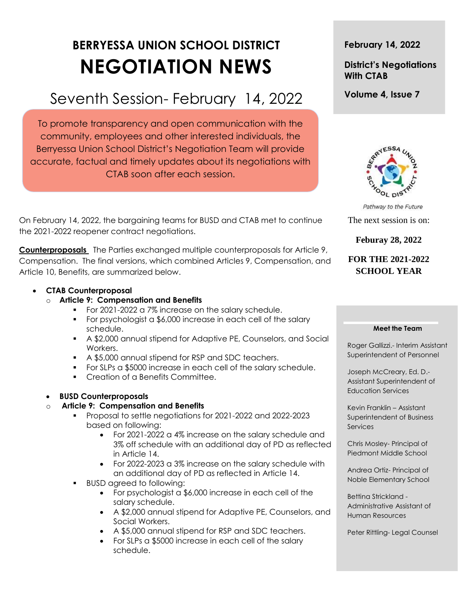# **BERRYESSA UNION SCHOOL DISTRICT NEGOTIATION NEWS**

## Seventh Session- February 14, 2022

To promote transparency and open communication with the community, employees and other interested individuals, the Berryessa Union School District's Negotiation Team will provide accurate, factual and timely updates about its negotiations with CTAB soon after each session.

On February 14, 2022, the bargaining teams for BUSD and CTAB met to continue the 2021-2022 reopener contract negotiations.

**Counterproposals** The Parties exchanged multiple counterproposals for Article 9, Compensation. The final versions, which combined Articles 9, Compensation, and Article 10, Benefits, are summarized below.

#### **CTAB Counterproposal**

- o **Article 9: Compensation and Benefits**
	- For 2021-2022 a 7% increase on the salary schedule.
	- For psychologist a \$6,000 increase in each cell of the salary schedule.
	- A \$2,000 annual stipend for Adaptive PE, Counselors, and Social Workers.
	- A \$5,000 annual stipend for RSP and SDC teachers.
	- For SLPs a \$5000 increase in each cell of the salary schedule.
	- **Creation of a Benefits Committee.**

#### **BUSD Counterproposals**

#### o **Article 9: Compensation and Benefits**

- Proposal to settle negotiations for 2021-2022 and 2022-2023 based on following:
	- For 2021-2022 a 4% increase on the salary schedule and 3% off schedule with an additional day of PD as reflected in Article 14.
	- For 2022-2023 a 3% increase on the salary schedule with an additional day of PD as reflected in Article 14.
- BUSD agreed to following:
	- For psychologist a \$6,000 increase in each cell of the salary schedule.
	- A \$2,000 annual stipend for Adaptive PE, Counselors, and Social Workers.
	- A \$5,000 annual stipend for RSP and SDC teachers.
	- For SLPs a \$5000 increase in each cell of the salary schedule.

#### **February 14, 2022**

#### **District's Negotiations With CTAB**

**Volume 4, Issue 7**



Pathway to the Future

The next session is on:

#### **Feburay 28, 2022**

### **FOR THE 2021-2022 SCHOOL YEAR**

#### **Meet the Team**

Roger Gallizzi.- Interim Assistant Superintendent of Personnel

Joseph McCreary, Ed. D.- Assistant Superintendent of Education Services

Kevin Franklin – Assistant Superintendent of Business **Services** 

Chris Mosley- Principal of Piedmont Middle School

Andrea Ortiz- Principal of Noble Elementary School

Bettina Strickland - Administrative Assistant of Human Resources

Peter Rittling- Legal Counsel

t